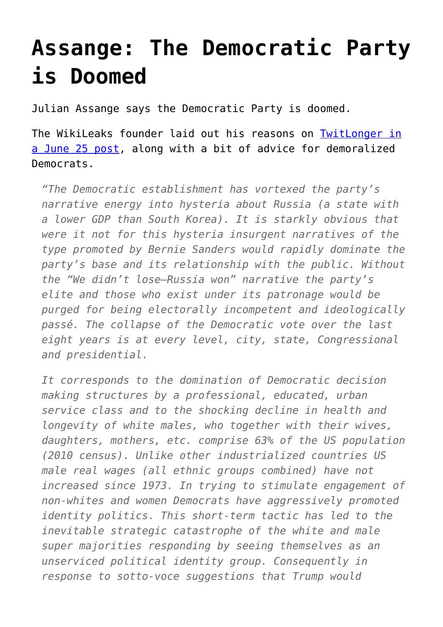## **[Assange: The Democratic Party](https://intellectualtakeout.org/2017/06/assange-the-democratic-party-is-doomed/) [is Doomed](https://intellectualtakeout.org/2017/06/assange-the-democratic-party-is-doomed/)**

Julian Assange says the Democratic Party is doomed.

The WikiLeaks founder laid out his reasons on [TwitLonger in](http://www.presidency.ucsb.edu/ws/?pid=29610) [a June 25 post,](http://www.presidency.ucsb.edu/ws/?pid=29610) along with a bit of advice for demoralized Democrats.

*"The Democratic establishment has vortexed the party's narrative energy into hysteria about Russia (a state with a lower GDP than South Korea). It is starkly obvious that were it not for this hysteria insurgent narratives of the type promoted by Bernie Sanders would rapidly dominate the party's base and its relationship with the public. Without the "We didn't lose–Russia won" narrative the party's elite and those who exist under its patronage would be purged for being electorally incompetent and ideologically passé. The collapse of the Democratic vote over the last eight years is at every level, city, state, Congressional and presidential.*

*It corresponds to the domination of Democratic decision making structures by a professional, educated, urban service class and to the shocking decline in health and longevity of white males, who together with their wives, daughters, mothers, etc. comprise 63% of the US population (2010 census). Unlike other industrialized countries US male real wages (all ethnic groups combined) have not increased since 1973. In trying to stimulate engagement of non-whites and women Democrats have aggressively promoted identity politics. This short-term tactic has led to the inevitable strategic catastrophe of the white and male super majorities responding by seeing themselves as an unserviced political identity group. Consequently in response to sotto-voce suggestions that Trump would*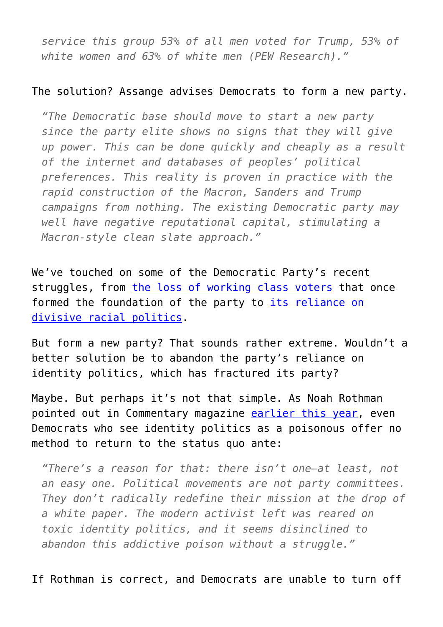*service this group 53% of all men voted for Trump, 53% of white women and 63% of white men (PEW Research)."*

## The solution? Assange advises Democrats to form a new party.

*"The Democratic base should move to start a new party since the party elite shows no signs that they will give up power. This can be done quickly and cheaply as a result of the internet and databases of peoples' political preferences. This reality is proven in practice with the rapid construction of the Macron, Sanders and Trump campaigns from nothing. The existing Democratic party may well have negative reputational capital, stimulating a Macron-style clean slate approach."*

We've touched on some of the Democratic Party's recent struggles, from [the loss of working class voters](https://www.intellectualtakeout.org/blog/how-democrats-lost-americas-working-class) that once formed the foundation of the party to *[its reliance on](https://www.intellectualtakeout.org/blog/you-want-racial-politics-well-give-you-racial-politics)* [divisive racial politics.](https://www.intellectualtakeout.org/blog/you-want-racial-politics-well-give-you-racial-politics)

But form a new party? That sounds rather extreme. Wouldn't a better solution be to abandon the party's reliance on identity politics, which has fractured its party?

Maybe. But perhaps it's not that simple. As Noah Rothman pointed out in Commentary magazine [earlier this year,](https://www.commentarymagazine.com/politics-ideas/identity-politics-poison-womens-march/) even Democrats who see identity politics as a poisonous offer no method to return to the status quo ante:

*"There's a reason for that: there isn't one—at least, not an easy one. Political movements are not party committees. They don't radically redefine their mission at the drop of a white paper. The modern activist left was reared on toxic identity politics, and it seems disinclined to abandon this addictive poison without a struggle."*

If Rothman is correct, and Democrats are unable to turn off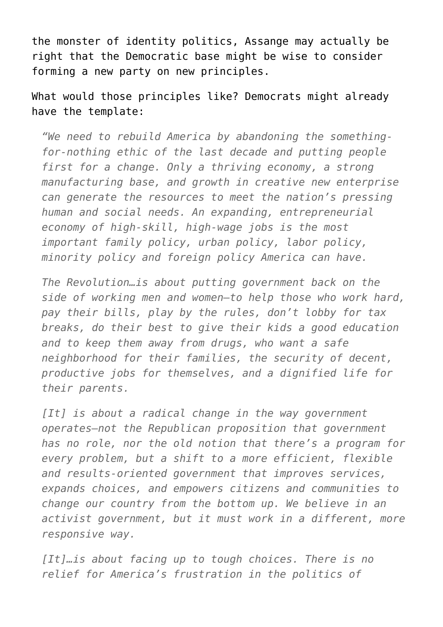the monster of identity politics, Assange may actually be right that the Democratic base might be wise to consider forming a new party on new principles.

What would those principles like? Democrats might already have the template:

*"We need to rebuild America by abandoning the somethingfor-nothing ethic of the last decade and putting people first for a change. Only a thriving economy, a strong manufacturing base, and growth in creative new enterprise can generate the resources to meet the nation's pressing human and social needs. An expanding, entrepreneurial economy of high-skill, high-wage jobs is the most important family policy, urban policy, labor policy, minority policy and foreign policy America can have.*

*The Revolution…is about putting government back on the side of working men and women—to help those who work hard, pay their bills, play by the rules, don't lobby for tax breaks, do their best to give their kids a good education and to keep them away from drugs, who want a safe neighborhood for their families, the security of decent, productive jobs for themselves, and a dignified life for their parents.*

*[It] is about a radical change in the way government operates—not the Republican proposition that government has no role, nor the old notion that there's a program for every problem, but a shift to a more efficient, flexible and results-oriented government that improves services, expands choices, and empowers citizens and communities to change our country from the bottom up. We believe in an activist government, but it must work in a different, more responsive way.*

*[It]…is about facing up to tough choices. There is no relief for America's frustration in the politics of*